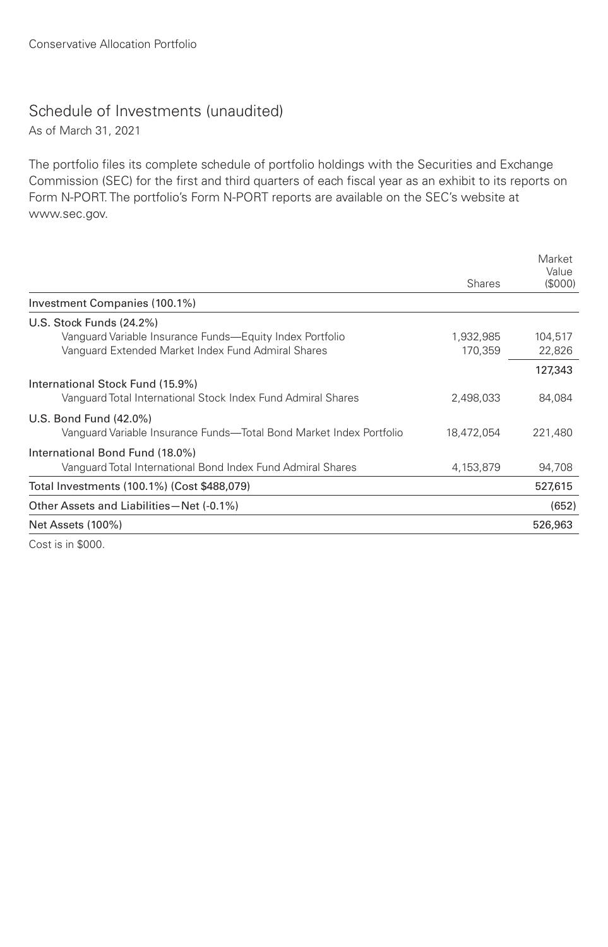## Schedule of Investments (unaudited)

As of March 31, 2021

The portfolio files its complete schedule of portfolio holdings with the Securities and Exchange Commission (SEC) for the first and third quarters of each fiscal year as an exhibit to its reports on Form N-PORT. The portfolio's Form N-PORT reports are available on the SEC's website at www.sec.gov.

|                                                                                                                | <b>Shares</b>        | Market<br>Value<br>(S000) |
|----------------------------------------------------------------------------------------------------------------|----------------------|---------------------------|
| Investment Companies (100.1%)                                                                                  |                      |                           |
| U.S. Stock Funds (24.2%)                                                                                       |                      |                           |
| Vanguard Variable Insurance Funds—Equity Index Portfolio<br>Vanguard Extended Market Index Fund Admiral Shares | 1,932,985<br>170,359 | 104.517<br>22,826         |
|                                                                                                                |                      | 127,343                   |
| International Stock Fund (15.9%)                                                                               |                      |                           |
| Vanquard Total International Stock Index Fund Admiral Shares                                                   | 2,498,033            | 84,084                    |
| U.S. Bond Fund (42.0%)                                                                                         |                      |                           |
| Vanguard Variable Insurance Funds—Total Bond Market Index Portfolio                                            | 18,472,054           | 221,480                   |
| International Bond Fund (18.0%)                                                                                |                      |                           |
| Vanguard Total International Bond Index Fund Admiral Shares                                                    | 4,153,879            | 94,708                    |
| Total Investments (100.1%) (Cost \$488,079)                                                                    |                      | 527,615                   |
| Other Assets and Liabilities-Net (-0.1%)                                                                       |                      | (652)                     |
| Net Assets (100%)                                                                                              |                      | 526,963                   |
| Cost is in \$000.                                                                                              |                      |                           |